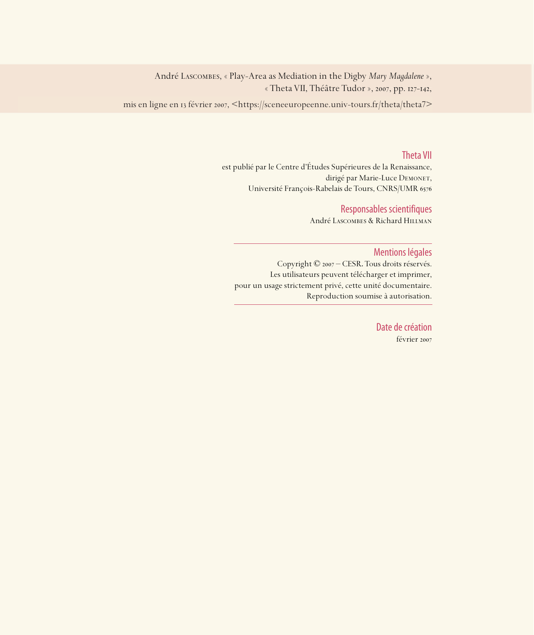André Lascombes, « Play-Area as Mediation in the Digby *Mary Magdalene* », « Theta VII, Théâtre Tudor », 2007, pp. 127-142,

mis en ligne en 13 février 2007, <https://sceneeuropeenne.univ-tours.fr/theta/theta7>

#### Theta VII

est publié par le Centre d'Études Supérieures de la Renaissance, dirigé par Marie-Luce DEMONET, Université François-Rabelais de Tours, CNRS/UMR

#### Responsables scientifiques

André Lascombes & Richard Hillman

#### Mentions légales

Copyright © 2007 – CESR. Tous droits réservés. Les utilisateurs peuvent télécharger et imprimer, pour un usage strictement privé, cette unité documentaire. Reproduction soumise à autorisation.

> Date de création février 2007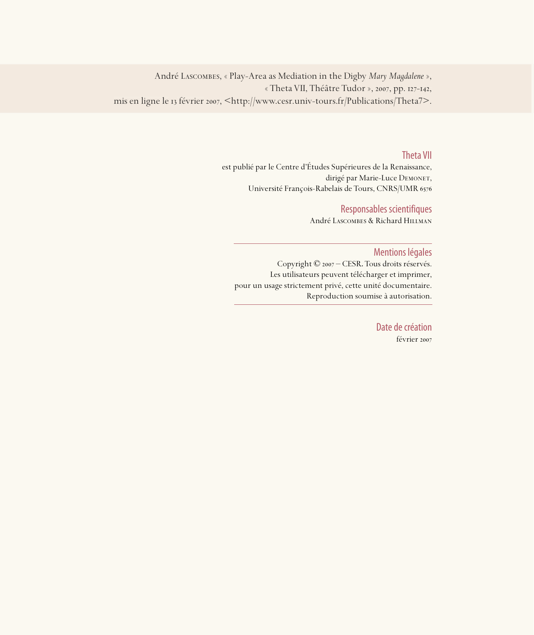André Lascombes, « Play-Area as Mediation in the Digby *Mary Magdalene* », « Theta VII, Théâtre Tudor », 2007, pp. 127-142, mis en ligne le 13 février 2007, <http://www.cesr.univ-tours.fr/Publications/Theta7>.

#### Theta VII

est publié par le Centre d'Études Supérieures de la Renaissance, dirigé par Marie-Luce DEMONET, Université François-Rabelais de Tours, CNRS/UMR

#### Responsables scientifiques

André Lascombes & Richard Hillman

#### Mentions légales

Copyright © 2007 – CESR. Tous droits réservés. Les utilisateurs peuvent télécharger et imprimer, pour un usage strictement privé, cette unité documentaire. Reproduction soumise à autorisation.

> Date de création février 2007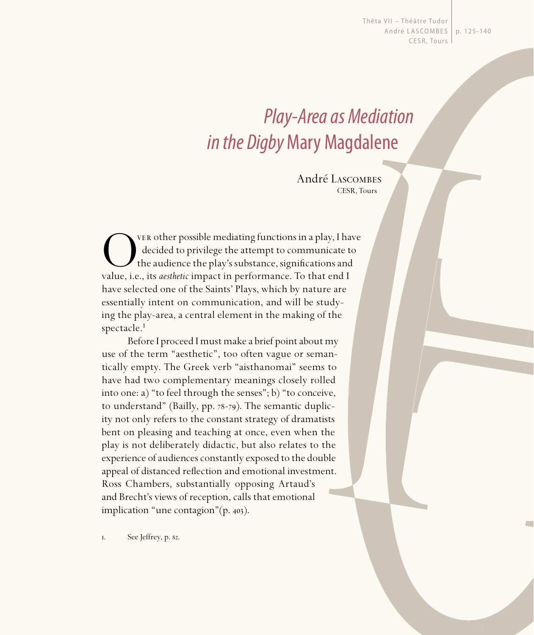Thêta VII - Théâtre Tudor André LASCOMBES | p. 125-140 CESR, Tours

# Play-Area as Mediation in the Digby Mary Magdalene

André Lascombes CESR, Tours

**OVER other possible mediating functions in a play, I have** decided to privilege the attempt to communicate to the audience the play's substance, significations and value, i.e., its *aesthetic* impact in performance. To th decided to privilege the attempt to communicate to the audience the play's substance, significations and value, i.e., its *aesthetic* impact in performance. To that end I have selected one of the Saints' Plays, which by nature are essentially intent on communication, and will be studying the play-area, a central element in the making of the spectacle.<sup>1</sup>

Before I proceed I must make a brief point about my use of the term "aesthetic", too often vague or semantically empty. The Greek verb "aisthanomai" seems to have had two complementary meanings closely rolled into one: a) "to feel through the senses"; b) "to conceive, to understand" (Bailly,  $pp.$   $78-79$ ). The semantic duplicity not only refers to the constant strategy of dramatists bent on pleasing and teaching at once, even when the play is not deliberately didactic, but also relates to the experience of audiences constantly exposed to the double appeal of distanced reflection and emotional investment. Ross Chambers, substantially opposing Artaud's and Brecht's views of reception, calls that emotional implication "une contagion" $(p. 403)$ .

I. See Jeffrey, p. 82.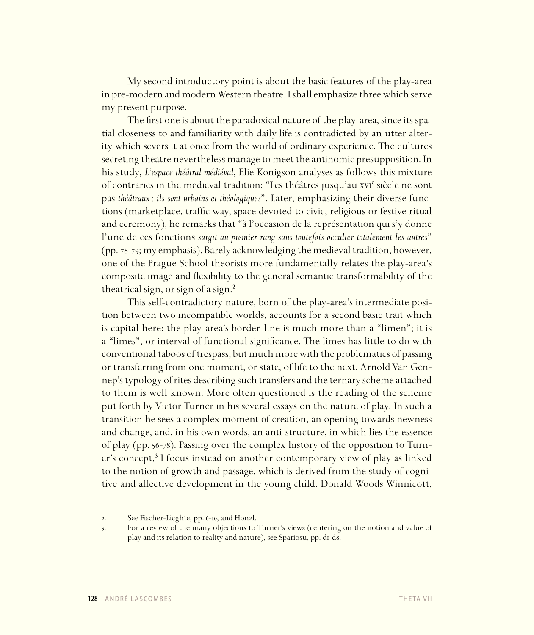My second introductory point is about the basic features of the play-area in pre-modern and modern Western theatre. I shall emphasize three which serve my present purpose.

The first one is about the paradoxical nature of the play-area, since its spatial closeness to and familiarity with daily life is contradicted by an utter alterity which severs it at once from the world of ordinary experience. The cultures secreting theatre nevertheless manage to meet the antinomic presupposition. In his study, *L'espace théâtral médiéval*, Elie Konigson analyses as follows this mixture of contraries in the medieval tradition: "Les théâtres jusqu'au xvie siècle ne sont pas *théâtraux ; ils sont urbains et théologiques*". Later, emphasizing their diverse functions (marketplace, traffic way, space devoted to civic, religious or festive ritual and ceremony), he remarks that "à l'occasion de la représentation qui s'y donne l'une de ces fonctions *surgit au premier rang sans toutefois occulter totalement les autres*" (pp. 78-79; my emphasis). Barely acknowledging the medieval tradition, however, one of the Prague School theorists more fundamentally relates the play-area's composite image and flexibility to the general semantic transformability of the theatrical sign, or sign of a sign.²

This self-contradictory nature, born of the play-area's intermediate position between two incompatible worlds, accounts for a second basic trait which is capital here: the play-area's border-line is much more than a "limen"; it is a "limes", or interval of functional significance. The limes has little to do with conventional taboos of trespass, but much more with the problematics of passing or transferring from one moment, or state, of life to the next. Arnold Van Gennep's typology of rites describing such transfers and the ternary scheme attached to them is well known. More often questioned is the reading of the scheme put forth by Victor Turner in his several essays on the nature of play. In such a transition he sees a complex moment of creation, an opening towards newness and change, and, in his own words, an anti-structure, in which lies the essence of play (pp. 56-78). Passing over the complex history of the opposition to Turner's concept,<sup>3</sup> I focus instead on another contemporary view of play as linked to the notion of growth and passage, which is derived from the study of cognitive and affective development in the young child. Donald Woods Winnicott,

<sup>2.</sup> See Fischer-Licghte, pp. 6-10, and Honzl.

<sup>.</sup> For a review of the many objections to Turner's views (centering on the notion and value of play and its relation to reality and nature), see Spariosu, pp. di-d8.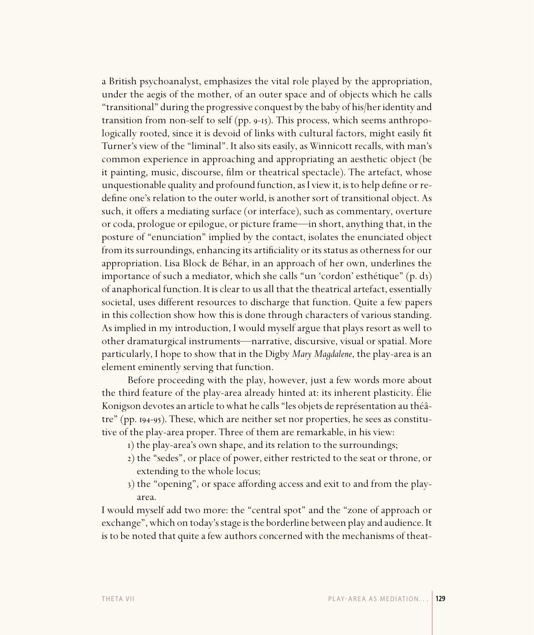a British psychoanalyst, emphasizes the vital role played by the appropriation, under the aegis of the mother, of an outer space and of objects which he calls "transitional" during the progressive conquest by the baby of his/her identity and transition from non-self to self (pp.  $9-15$ ). This process, which seems anthropologically rooted, since it is devoid of links with cultural factors, might easily fit Turner's view of the "liminal". It also sits easily, as Winnicott recalls, with man's common experience in approaching and appropriating an aesthetic object (be it painting, music, discourse, film or theatrical spectacle). The artefact, whose unquestionable quality and profound function, as I view it, is to help define or redefine one's relation to the outer world, is another sort of transitional object. As such, it offers a mediating surface (or interface), such as commentary, overture or coda, prologue or epilogue, or picture frame—in short, anything that, in the posture of "enunciation" implied by the contact, isolates the enunciated object from its surroundings, enhancing its artificiality or its status as otherness for our appropriation. Lisa Block de Béhar, in an approach of her own, underlines the importance of such a mediator, which she calls "un 'cordon' esthétique" (p. d3) of anaphorical function. It is clear to us all that the theatrical artefact, essentially societal, uses different resources to discharge that function. Quite a few papers in this collection show how this is done through characters of various standing. As implied in my introduction, I would myself argue that plays resort as well to other dramaturgical instruments—narrative, discursive, visual or spatial. More particularly, I hope to show that in the Digby *Mary Magdalene*, the play-area is an element eminently serving that function.

Before proceeding with the play, however, just a few words more about the third feature of the play-area already hinted at: its inherent plasticity. Élie Konigson devotes an article to what he calls "les objets de représentation au théâtre" (pp. 194-95). These, which are neither set nor properties, he sees as constitutive of the play-area proper. Three of them are remarkable, in his view:

- ) the play-area's own shape, and its relation to the surroundings;
- ) the "sedes", or place of power, either restricted to the seat or throne, or extending to the whole locus;
- ) the "opening", or space affording access and exit to and from the playarea.

I would myself add two more: the "central spot" and the "zone of approach or exchange", which on today's stage is the borderline between play and audience. It is to be noted that quite a few authors concerned with the mechanisms of theat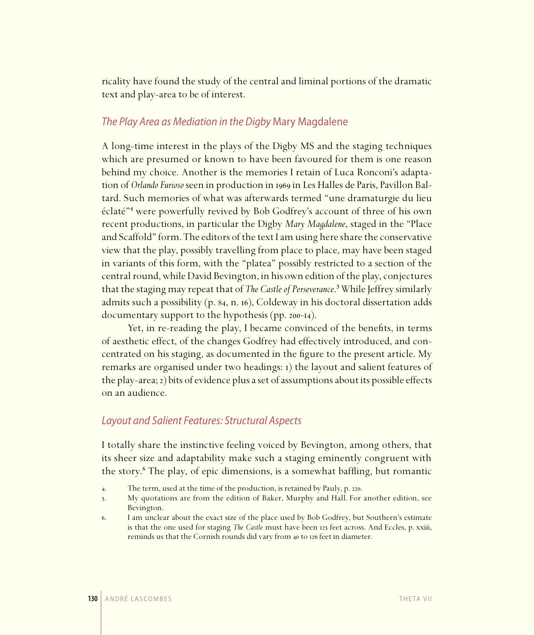ricality have found the study of the central and liminal portions of the dramatic text and play-area to be of interest.

# The Play Area as Mediation in the Digby Mary Magdalene

A long-time interest in the plays of the Digby MS and the staging techniques which are presumed or known to have been favoured for them is one reason behind my choice. Another is the memories I retain of Luca Ronconi's adaptation of *Orlando Furioso* seen in production in 1969 in Les Halles de Paris, Pavillon Baltard. Such memories of what was afterwards termed "une dramaturgie du lieu éclaté"⁴ were powerfully revived by Bob Godfrey's account of three of his own recent productions, in particular the Digby *Mary Magdalene*, staged in the "Place and Scaffold" form. The editors of the text I am using here share the conservative view that the play, possibly travelling from place to place, may have been staged in variants of this form, with the "platea" possibly restricted to a section of the central round, while David Bevington, in his own edition of the play, conjectures that the staging may repeat that of *The Castle of Perseverance*.⁵ While Jeffrey similarly admits such a possibility (p. 84, n. 16), Coldeway in his doctoral dissertation adds documentary support to the hypothesis (pp. 200-14).

Yet, in re-reading the play, I became convinced of the benefits, in terms of aesthetic effect, of the changes Godfrey had effectively introduced, and concentrated on his staging, as documented in the figure to the present article. My remarks are organised under two headings:  $\iota$ ) the layout and salient features of the play-area; ) bits of evidence plus a set of assumptions about its possible effects on an audience.

# Layout and Salient Features: Structural Aspects

I totally share the instinctive feeling voiced by Bevington, among others, that its sheer size and adaptability make such a staging eminently congruent with the story.⁶ The play, of epic dimensions, is a somewhat baffling, but romantic

- 4. The term, used at the time of the production, is retained by Pauly, p. 220.
- . My quotations are from the edition of Baker, Murphy and Hall. For another edition, see Bevington.
- . I am unclear about the exact size of the place used by Bob Godfrey, but Southern's estimate is that the one used for staging *The Castle* must have been 125 feet across. And Eccles, p. xxiii, reminds us that the Cornish rounds did vary from 40 to 126 feet in diameter.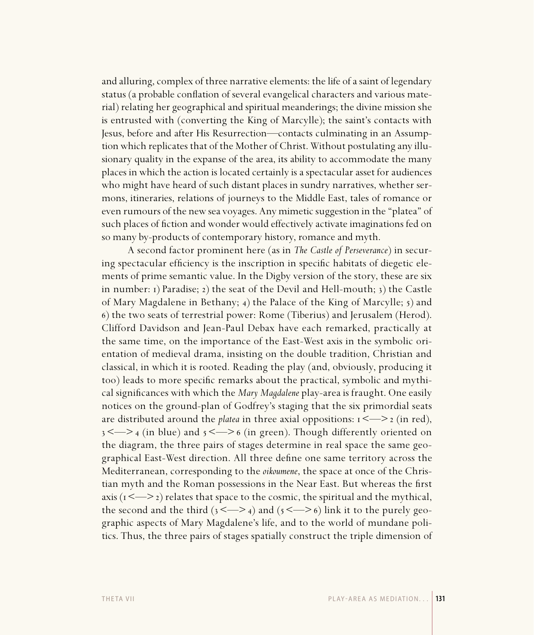and alluring, complex of three narrative elements: the life of a saint of legendary status (a probable conflation of several evangelical characters and various material) relating her geographical and spiritual meanderings; the divine mission she is entrusted with (converting the King of Marcylle); the saint's contacts with Jesus, before and after His Resurrection—contacts culminating in an Assumption which replicates that of the Mother of Christ. Without postulating any illusionary quality in the expanse of the area, its ability to accommodate the many places in which the action is located certainly is a spectacular asset for audiences who might have heard of such distant places in sundry narratives, whether sermons, itineraries, relations of journeys to the Middle East, tales of romance or even rumours of the new sea voyages. Any mimetic suggestion in the "platea" of such places of fiction and wonder would effectively activate imaginations fed on so many by-products of contemporary history, romance and myth.

A second factor prominent here (as in *The Castle of Perseverance*) in securing spectacular efficiency is the inscription in specific habitats of diegetic elements of prime semantic value. In the Digby version of the story, these are six in number:  $i$ ) Paradise;  $i$ ) the seat of the Devil and Hell-mouth;  $i$ ) the Castle of Mary Magdalene in Bethany; 4) the Palace of the King of Marcylle; 5) and ) the two seats of terrestrial power: Rome (Tiberius) and Jerusalem (Herod). Clifford Davidson and Jean-Paul Debax have each remarked, practically at the same time, on the importance of the East-West axis in the symbolic orientation of medieval drama, insisting on the double tradition, Christian and classical, in which it is rooted. Reading the play (and, obviously, producing it too) leads to more specific remarks about the practical, symbolic and mythical significances with which the *Mary Magdalene* play-area is fraught. One easily notices on the ground-plan of Godfrey's staging that the six primordial seats are distributed around the *platea* in three axial oppositions:  $s \leq -\frac{1}{2}$  (in red),  $3 \leq 2$  (in blue) and  $5 \leq 2$  (in green). Though differently oriented on the diagram, the three pairs of stages determine in real space the same geographical East-West direction. All three define one same territory across the Mediterranean, corresponding to the *oikoumene*, the space at once of the Christian myth and the Roman possessions in the Near East. But whereas the first axis ( $x \leq -2$ ) relates that space to the cosmic, the spiritual and the mythical, the second and the third  $(3 \le -2)$  and  $(5 \le -2)$  link it to the purely geographic aspects of Mary Magdalene's life, and to the world of mundane politics. Thus, the three pairs of stages spatially construct the triple dimension of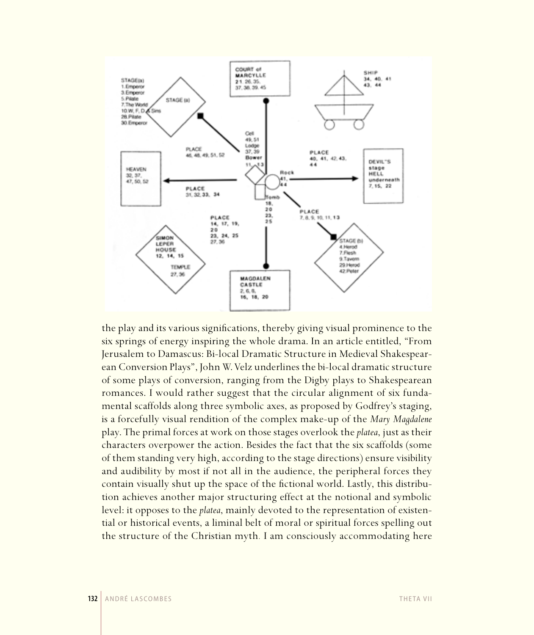

the play and its various significations, thereby giving visual prominence to the six springs of energy inspiring the whole drama. In an article entitled, "From Jerusalem to Damascus: Bi-local Dramatic Structure in Medieval Shakespearean Conversion Plays", John W. Velz underlines the bi-local dramatic structure of some plays of conversion, ranging from the Digby plays to Shakespearean romances. I would rather suggest that the circular alignment of six fundamental scaffolds along three symbolic axes, as proposed by Godfrey's staging, is a forcefully visual rendition of the complex make-up of the *Mary Magdalene*  play. The primal forces at work on those stages overlook the *platea*, just as their characters overpower the action. Besides the fact that the six scaffolds (some of them standing very high, according to the stage directions) ensure visibility and audibility by most if not all in the audience, the peripheral forces they contain visually shut up the space of the fictional world. Lastly, this distribution achieves another major structuring effect at the notional and symbolic level: it opposes to the *platea*, mainly devoted to the representation of existential or historical events, a liminal belt of moral or spiritual forces spelling out the structure of the Christian myth*.* I am consciously accommodating here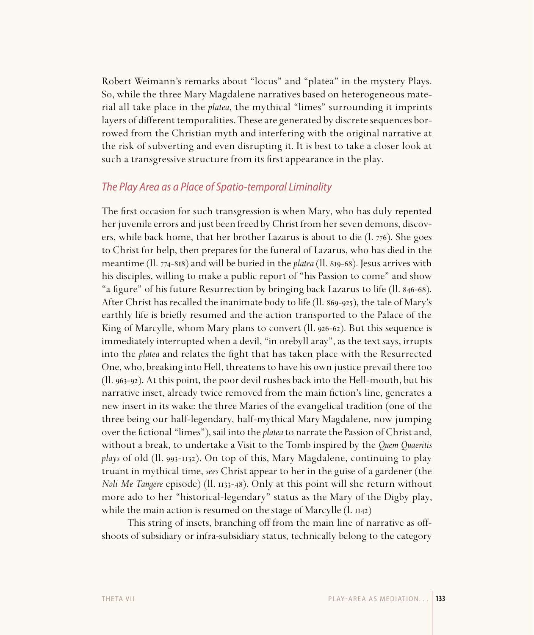Robert Weimann's remarks about "locus" and "platea" in the mystery Plays. So, while the three Mary Magdalene narratives based on heterogeneous material all take place in the *platea*, the mythical "limes" surrounding it imprints layers of different temporalities. These are generated by discrete sequences borrowed from the Christian myth and interfering with the original narrative at the risk of subverting and even disrupting it. It is best to take a closer look at such a transgressive structure from its first appearance in the play.

# The Play Area as a Place of Spatio-temporal Liminality

The first occasion for such transgression is when Mary, who has duly repented her juvenile errors and just been freed by Christ from her seven demons, discovers, while back home, that her brother Lazarus is about to die  $(1.776)$ . She goes to Christ for help, then prepares for the funeral of Lazarus, who has died in the meantime (II. 774-818) and will be buried in the *platea* (II. 819-68). Jesus arrives with his disciples, willing to make a public report of "his Passion to come" and show "a figure" of his future Resurrection by bringing back Lazarus to life (Il. 846-68). After Christ has recalled the inanimate body to life (Il. 869-925), the tale of Mary's earthly life is briefly resumed and the action transported to the Palace of the King of Marcylle, whom Mary plans to convert ( $\text{ll. }926-62$ ). But this sequence is immediately interrupted when a devil, "in orebyll aray", as the text says, irrupts into the *platea* and relates the fight that has taken place with the Resurrected One, who, breaking into Hell, threatens to have his own justice prevail there too  $(11. 963-92)$ . At this point, the poor devil rushes back into the Hell-mouth, but his narrative inset, already twice removed from the main fiction's line, generates a new insert in its wake: the three Maries of the evangelical tradition (one of the three being our half-legendary, half-mythical Mary Magdalene, now jumping over the fictional "limes"), sail into the *platea* to narrate the Passion of Christ and, without a break, to undertake a Visit to the Tomb inspired by the *Quem Quaeritis plays* of old (Il. 993-1132). On top of this, Mary Magdalene, continuing to play truant in mythical time, *sees* Christ appear to her in the guise of a gardener (the *Noli Me Tangere* episode) (II. 1133-48). Only at this point will she return without more ado to her "historical-legendary" status as the Mary of the Digby play, while the main action is resumed on the stage of Marcylle  $(l. 1142)$ 

This string of insets, branching off from the main line of narrative as offshoots of subsidiary or infra-subsidiary status, technically belong to the category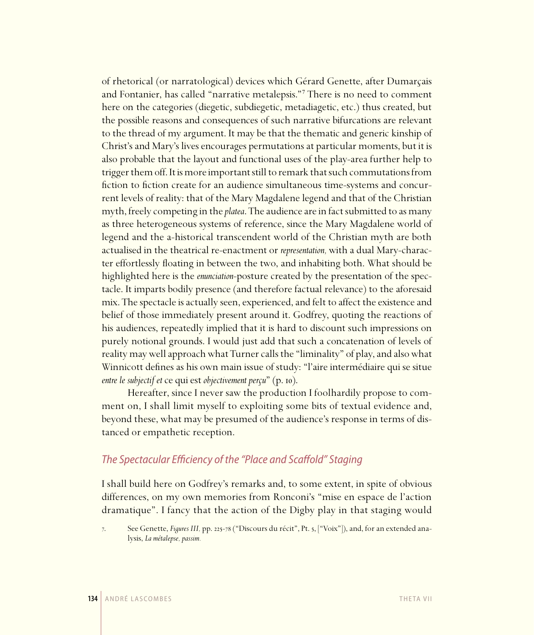of rhetorical (or narratological) devices which Gérard Genette, after Dumarçais and Fontanier, has called "narrative metalepsis."<sup>7</sup> There is no need to comment here on the categories (diegetic, subdiegetic, metadiagetic, etc.) thus created, but the possible reasons and consequences of such narrative bifurcations are relevant to the thread of my argument. It may be that the thematic and generic kinship of Christ's and Mary's lives encourages permutations at particular moments, but it is also probable that the layout and functional uses of the play-area further help to trigger them off. It is more important still to remark that such commutations from fiction to fiction create for an audience simultaneous time-systems and concurrent levels of reality: that of the Mary Magdalene legend and that of the Christian myth, freely competing in the *platea*. The audience are in fact submitted to as many as three heterogeneous systems of reference, since the Mary Magdalene world of legend and the a-historical transcendent world of the Christian myth are both actualised in the theatrical re-enactment or *representation,* with a dual Mary-character effortlessly floating in between the two, and inhabiting both. What should be highlighted here is the *enunciation*-posture created by the presentation of the spectacle. It imparts bodily presence (and therefore factual relevance) to the aforesaid mix. The spectacle is actually seen, experienced, and felt to affect the existence and belief of those immediately present around it. Godfrey, quoting the reactions of his audiences, repeatedly implied that it is hard to discount such impressions on purely notional grounds. I would just add that such a concatenation of levels of reality may well approach what Turner calls the "liminality" of play, and also what Winnicott defines as his own main issue of study: "l'aire intermédiaire qui se situe *entre le subjectif et ce qui est objectivement perçu*" (p. 10).

Hereafter, since I never saw the production I foolhardily propose to comment on, I shall limit myself to exploiting some bits of textual evidence and, beyond these, what may be presumed of the audience's response in terms of distanced or empathetic reception.

# The Spectacular Efficiency of the "Place and Scaffold" Staging

I shall build here on Godfrey's remarks and, to some extent, in spite of obvious differences, on my own memories from Ronconi's "mise en espace de l'action dramatique". I fancy that the action of the Digby play in that staging would

<sup>7.</sup> See Genette, *Figures III*, pp. 225-78 ("Discours du récit", Pt. 5, ["Voix"]), and, for an extended analysis, *La métalepse, passim.*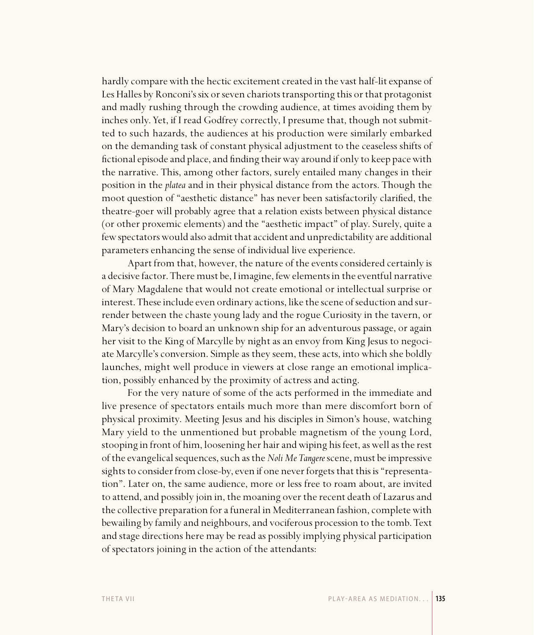hardly compare with the hectic excitement created in the vast half-lit expanse of Les Halles by Ronconi's six or seven chariots transporting this or that protagonist and madly rushing through the crowding audience, at times avoiding them by inches only. Yet, if I read Godfrey correctly, I presume that, though not submitted to such hazards, the audiences at his production were similarly embarked on the demanding task of constant physical adjustment to the ceaseless shifts of fictional episode and place, and finding their way around if only to keep pace with the narrative. This, among other factors, surely entailed many changes in their position in the *platea* and in their physical distance from the actors. Though the moot question of "aesthetic distance" has never been satisfactorily clarified, the theatre-goer will probably agree that a relation exists between physical distance (or other proxemic elements) and the "aesthetic impact" of play. Surely, quite a few spectators would also admit that accident and unpredictability are additional parameters enhancing the sense of individual live experience.

Apart from that, however, the nature of the events considered certainly is a decisive factor. There must be, I imagine, few elements in the eventful narrative of Mary Magdalene that would not create emotional or intellectual surprise or interest. These include even ordinary actions, like the scene of seduction and surrender between the chaste young lady and the rogue Curiosity in the tavern, or Mary's decision to board an unknown ship for an adventurous passage, or again her visit to the King of Marcylle by night as an envoy from King Jesus to negociate Marcylle's conversion. Simple as they seem, these acts, into which she boldly launches, might well produce in viewers at close range an emotional implication, possibly enhanced by the proximity of actress and acting.

For the very nature of some of the acts performed in the immediate and live presence of spectators entails much more than mere discomfort born of physical proximity. Meeting Jesus and his disciples in Simon's house, watching Mary yield to the unmentioned but probable magnetism of the young Lord, stooping in front of him, loosening her hair and wiping his feet, as well as the rest of the evangelical sequences, such as the *Noli Me Tangere* scene, must be impressive sights to consider from close-by, even if one never forgets that this is "representation". Later on, the same audience, more or less free to roam about, are invited to attend, and possibly join in, the moaning over the recent death of Lazarus and the collective preparation for a funeral in Mediterranean fashion, complete with bewailing by family and neighbours, and vociferous procession to the tomb. Text and stage directions here may be read as possibly implying physical participation of spectators joining in the action of the attendants: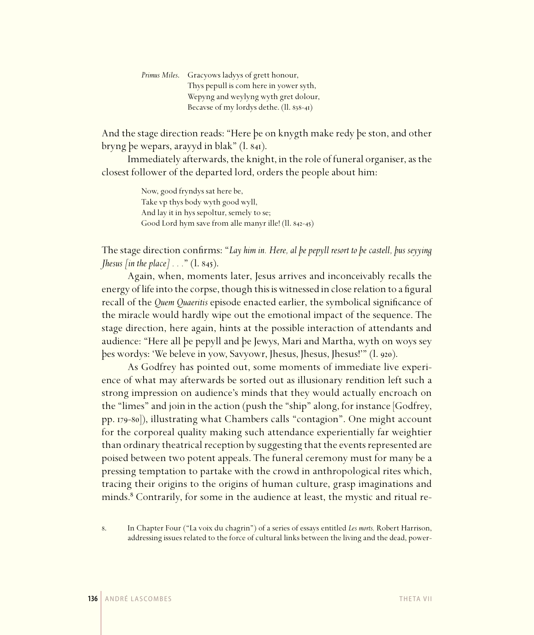| Primus Miles. Gracyows ladyys of grett honour, |
|------------------------------------------------|
| Thys pepull is com here in yower syth,         |
| Wepyng and weylyng wyth gret dolour,           |
| Becavse of my lordys dethe. (ll. 838-41)       |

And the stage direction reads: "Here þe on knygth make redy þe ston, and other bryng þe wepars, arayyd in blak" (l. 841).

Immediately afterwards, the knight, in the role of funeral organiser, as the closest follower of the departed lord, orders the people about him:

> Now, good fryndys sat here be, Take vp thys body wyth good wyll, And lay it in hys sepoltur, semely to se; Good Lord hym save from alle manyr ille!  $(II. 842-45)$

The stage direction confirms: "*Lay him in. Here, al þe pepyll resort to þe castell, þus seyying Jhesus [in the place]*  $\ldots$  " (1. 845).

Again, when, moments later, Jesus arrives and inconceivably recalls the energy of life into the corpse, though this is witnessed in close relation to a figural recall of the *Quem Quaeritis* episode enacted earlier, the symbolical significance of the miracle would hardly wipe out the emotional impact of the sequence. The stage direction, here again, hints at the possible interaction of attendants and audience: "Here all þe pepyll and þe Jewys, Mari and Martha, wyth on woys sey þes wordys: 'We beleve in yow, Savyowr, Jhesus, Jhesus, Jhesus!'" (l. ).

As Godfrey has pointed out, some moments of immediate live experience of what may afterwards be sorted out as illusionary rendition left such a strong impression on audience's minds that they would actually encroach on the "limes" and join in the action (push the "ship" along, for instance [Godfrey, pp. 179-80]), illustrating what Chambers calls "contagion". One might account for the corporeal quality making such attendance experientially far weightier than ordinary theatrical reception by suggesting that the events represented are poised between two potent appeals. The funeral ceremony must for many be a pressing temptation to partake with the crowd in anthropological rites which, tracing their origins to the origins of human culture, grasp imaginations and minds.<sup>8</sup> Contrarily, for some in the audience at least, the mystic and ritual re-

. In Chapter Four ("La voix du chagrin") of a series of essays entitled *Les morts,* Robert Harrison, addressing issues related to the force of cultural links between the living and the dead, power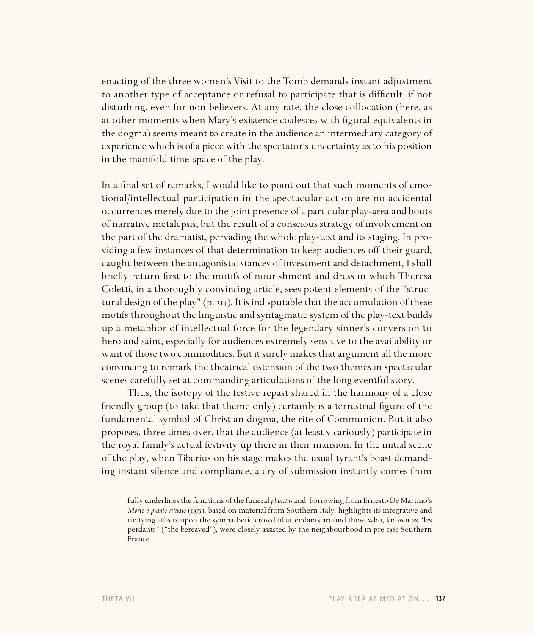enacting of the three women's Visit to the Tomb demands instant adjustment to another type of acceptance or refusal to participate that is difficult, if not disturbing, even for non-believers. At any rate, the close collocation (here, as at other moments when Mary's existence coalesces with figural equivalents in the dogma) seems meant to create in the audience an intermediary category of experience which is of a piece with the spectator's uncertainty as to his position in the manifold time-space of the play.

In a final set of remarks, I would like to point out that such moments of emotional/intellectual participation in the spectacular action are no accidental occurrences merely due to the joint presence of a particular play-area and bouts of narrative metalepsis, but the result of a conscious strategy of involvement on the part of the dramatist, pervading the whole play-text and its staging. In providing a few instances of that determination to keep audiences off their guard, caught between the antagonistic stances of investment and detachment, I shall briefly return first to the motifs of nourishment and dress in which Theresa Coletti, in a thoroughly convincing article, sees potent elements of the "structural design of the play"  $(p. 314)$ . It is indisputable that the accumulation of these motifs throughout the linguistic and syntagmatic system of the play-text builds up a metaphor of intellectual force for the legendary sinner's conversion to hero and saint, especially for audiences extremely sensitive to the availability or want of those two commodities. But it surely makes that argument all the more convincing to remark the theatrical ostension of the two themes in spectacular scenes carefully set at commanding articulations of the long eventful story.

Thus, the isotopy of the festive repast shared in the harmony of a close friendly group (to take that theme only) certainly is a terrestrial figure of the fundamental symbol of Christian dogma, the rite of Communion. But it also proposes, three times over, that the audience (at least vicariously) participate in the royal family's actual festivity up there in their mansion. In the initial scene of the play, when Tiberius on his stage makes the usual tyrant's boast demanding instant silence and compliance, a cry of submission instantly comes from

fully underlines the functions of the funeral *planctus* and, borrowing from Ernesto De Martino's *Morte e piante rituale* (1975), based on material from Southern Italy, highlights its integrative and unifying effects upon the sympathetic crowd of attendants around those who, known as "les perdants" ("the bereaved"), were closely assisted by the neighbourhood in pre-1960 Southern France.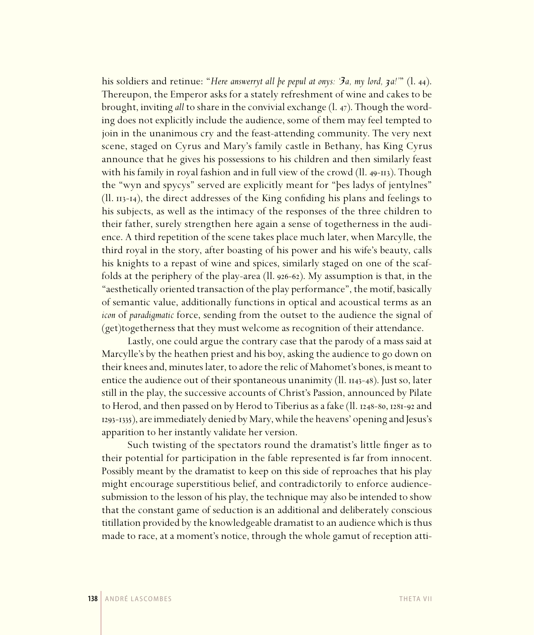his soldiers and retinue: "*Here answerryt all þe pepul at onys: '3a, my lord, 3a!'*" (l. 44). Thereupon, the Emperor asks for a stately refreshment of wine and cakes to be brought, inviting *all* to share in the convivial exchange (l. 47). Though the wording does not explicitly include the audience, some of them may feel tempted to join in the unanimous cry and the feast-attending community. The very next scene, staged on Cyrus and Mary's family castle in Bethany, has King Cyrus announce that he gives his possessions to his children and then similarly feast with his family in royal fashion and in full view of the crowd ( $\ln 49$ -113). Though the "wyn and spycys" served are explicitly meant for "þes ladys of jentylnes"  $(II. 113-14)$ , the direct addresses of the King confiding his plans and feelings to his subjects, as well as the intimacy of the responses of the three children to their father, surely strengthen here again a sense of togetherness in the audience. A third repetition of the scene takes place much later, when Marcylle, the third royal in the story, after boasting of his power and his wife's beauty, calls his knights to a repast of wine and spices, similarly staged on one of the scaffolds at the periphery of the play-area  $(11.926-62)$ . My assumption is that, in the "aesthetically oriented transaction of the play performance", the motif, basically of semantic value, additionally functions in optical and acoustical terms as an *icon* of *paradigmatic* force, sending from the outset to the audience the signal of (get)togetherness that they must welcome as recognition of their attendance.

Lastly, one could argue the contrary case that the parody of a mass said at Marcylle's by the heathen priest and his boy, asking the audience to go down on their knees and, minutes later, to adore the relic of Mahomet's bones, is meant to entice the audience out of their spontaneous unanimity ( $ll$ .  $11.143-48$ ). Just so, later still in the play, the successive accounts of Christ's Passion, announced by Pilate to Herod, and then passed on by Herod to Tiberius as a fake  $(11.1248-80, 1281-92)$  and 1293-1335), are immediately denied by Mary, while the heavens' opening and Jesus's apparition to her instantly validate her version.

Such twisting of the spectators round the dramatist's little finger as to their potential for participation in the fable represented is far from innocent. Possibly meant by the dramatist to keep on this side of reproaches that his play might encourage superstitious belief, and contradictorily to enforce audiencesubmission to the lesson of his play, the technique may also be intended to show that the constant game of seduction is an additional and deliberately conscious titillation provided by the knowledgeable dramatist to an audience which is thus made to race, at a moment's notice, through the whole gamut of reception atti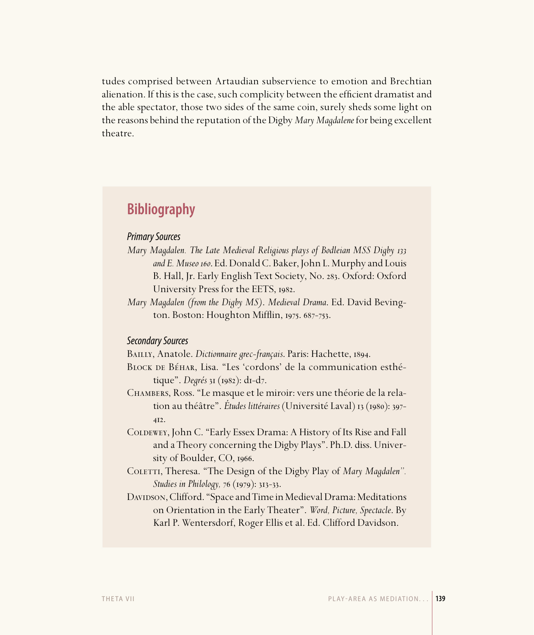tudes comprised between Artaudian subservience to emotion and Brechtian alienation. If this is the case, such complicity between the efficient dramatist and the able spectator, those two sides of the same coin, surely sheds some light on the reasons behind the reputation of the Digby *Mary Magdalene* for being excellent theatre.

# **Bibliography**

## Primary Sources

- *Mary Magdalen. The Late Medieval Religious plays of Bodleian MSS Digby*  and E. Museo 160. Ed. Donald C. Baker, John L. Murphy and Louis B. Hall, Jr. Early English Text Society, No. 283. Oxford: Oxford University Press for the EETS, 1982.
- *Mary Magdalen (from the Digby MS)*. *Medieval Drama*. Ed. David Bevington. Boston: Houghton Mifflin, 1975. 687-753.

### Secondary Sources

BAILLY, Anatole. *Dictionnaire grec-français*. Paris: Hachette, 1894.

- BLOCK DE BÉHAR, Lisa. "Les 'cordons' de la communication esthétique". *Degrés* 31 (1982): d1-d7.
- Chambers, Ross. "Le masque et le miroir: vers une théorie de la relation au théâtre". *Études littéraires* (Université Laval) 13 (1980): 397- $4I2.$
- COLDEWEY, John C. "Early Essex Drama: A History of Its Rise and Fall and a Theory concerning the Digby Plays". Ph.D. diss. University of Boulder,  $CO$ , 1966.
- COLETTI, Theresa. "The Design of the Digby Play of *Mary Magdalen"*. *Studies in Philology, 76 (1979): 313-33.*
- DAVIDSON, Clifford. "Space and Time in Medieval Drama: Meditations on Orientation in the Early Theater". *Word, Picture, Spectacle*. By Karl P. Wentersdorf, Roger Ellis et al. Ed. Clifford Davidson.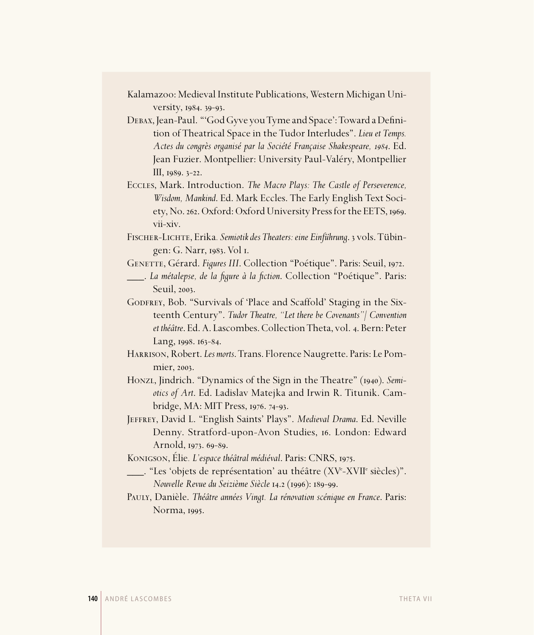Kalamazoo: Medieval Institute Publications, Western Michigan University, 1984. 39-93.

DEBAX, Jean-Paul. "'God Gyve you Tyme and Space': Toward a Definition of Theatrical Space in the Tudor Interludes". *Lieu et Temps. Actes du congrès organisé par la Société Française Shakespeare,* . Ed. Jean Fuzier. Montpellier: University Paul-Valéry, Montpellier  $III, 1989. 3-22.$ 

Eccles, Mark. Introduction. *The Macro Plays: The Castle of Perseverence, Wisdom, Mankind*. Ed. Mark Eccles. The Early English Text Society, No. 262. Oxford: Oxford University Press for the EETS, 1969. vii-xiv.

Fischer-Lichte, Erika*. Semiotik des Theaters: eine Einführung*. vols. Tübingen: G. Narr, 1983. Vol 1.

GENETTE, Gérard. *Figures III*. Collection "Poétique". Paris: Seuil, 1972.

\_\_\_. *La métalepse, de la fi gure à la fi ction*. Collection "Poétique". Paris: Seuil, 2003.

GODFREY, Bob. "Survivals of 'Place and Scaffold' Staging in the Sixteenth Century". *Tudor Theatre, "Let there be Covenants"/ Convention et théâtre*. Ed. A. Lascombes. Collection Theta, vol. 4. Bern: Peter Lang, 1998. 163-84.

Harrison, Robert. *Les morts*. Trans. Florence Naugrette. Paris: Le Pommier, 2003.

Honzi, Jindrich. "Dynamics of the Sign in the Theatre" (1940). *Semiotics of Art*. Ed. Ladislav Matejka and Irwin R. Titunik. Cambridge, MA: MIT Press,  $1976.74 - 93$ .

Jeffrey, David L. "English Saints' Plays". *Medieval Drama*. Ed. Neville Denny. Stratford-upon-Avon Studies, 16. London: Edward Arnold, 1973. 69-89.

Konigson, Élie. L'espace théâtral médiéval. Paris: CNRS, 1975.

\_\_\_. "Les 'objets de représentation' au théâtre (XVe -XVIIe siècles)". *Nouvelle Revue du Seizième Siècle* 14.2 (1996): 189-99.

Pauly, Danièle. *Théâtre années Vingt. La rénovation scénique en France*. Paris: Norma, 1995.